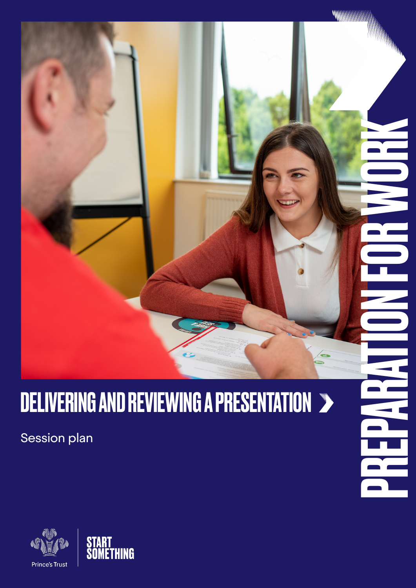# DELIVERING AND REVIEWING A PRESENTATION >

PREPARATION FOR WORK

**MANAHAMANA** 

WWWW

Session plan



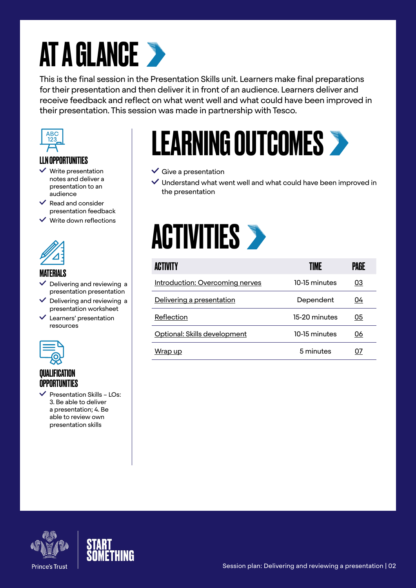# AT A GLANCE >

This is the final session in the Presentation Skills unit. Learners make final preparations for their presentation and then deliver it in front of an audience. Learners deliver and receive feedback and reflect on what went well and what could have been improved in their presentation. This session was made in partnership with Tesco.



### LLN OPPORTUNITIES

- $\checkmark$  Write presentation notes and deliver a presentation to an audience
- $\vee$  Read and consider presentation feedback
- $\checkmark$  Write down reflections



### MATERIALS

- Delivering and reviewing a presentation presentation
- $\vee$  Delivering and reviewing a presentation worksheet
- Learners' presentation resources



### QUALIFICATION OPPORTUNITIES

 Presentation Skills – LOs: 3. Be able to deliver a presentation; 4. Be able to review own presentation skills

# LEARNING OUTCOMES

#### $\checkmark$  Give a presentation

 Understand what went well and what could have been improved in the presentation



| <b>ACTIVITY</b>                 | TIME          | PAGE |
|---------------------------------|---------------|------|
| Introduction: Overcoming nerves | 10-15 minutes | 03   |
| Delivering a presentation       | Dependent     | 04   |
| Reflection                      | 15-20 minutes | 05   |
| Optional: Skills development    | 10-15 minutes | 06   |
| Wrap up                         | 5 minutes     |      |



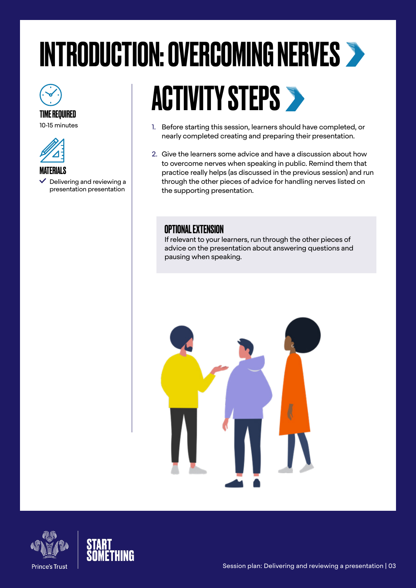# <span id="page-2-0"></span>INTRODUCTION: OVERCOMING NERVES

### TIME REQUIRED

10-15 minutes



#### **MATERIALS**

 $\vee$  Delivering and reviewing a presentation presentation

# **ACTIVITY STEPS >**

- 1. Before starting this session, learners should have completed, or nearly completed creating and preparing their presentation.
- 2. Give the learners some advice and have a discussion about how to overcome nerves when speaking in public. Remind them that practice really helps (as discussed in the previous session) and run through the other pieces of advice for handling nerves listed on the supporting presentation.

### OPTIONAL EXTENSION

If relevant to your learners, run through the other pieces of advice on the presentation about answering questions and pausing when speaking.



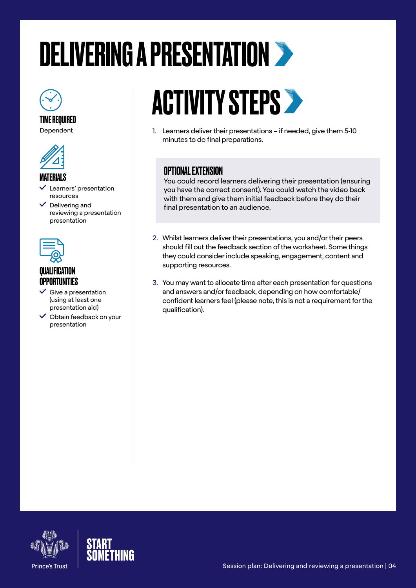# <span id="page-3-0"></span>DELIVERING A PRESENTATION



TIME REQUIRED Dependent



### MATERIALS

- Learners' presentation resources
- $\vee$  Delivering and reviewing a presentation presentation



### QUALIFICATION OPPORTUNITIES

- $\checkmark$  Give a presentation (using at least one presentation aid)
- $\checkmark$  Obtain feedback on your presentation

# **ACTIVITY STEPS >**

1. Learners deliver their presentations – if needed, give them 5-10 minutes to do final preparations.

# OPTIONAL EXTENSION

You could record learners delivering their presentation (ensuring you have the correct consent). You could watch the video back with them and give them initial feedback before they do their final presentation to an audience.

- 2. Whilst learners deliver their presentations, you and/or their peers should fill out the feedback section of the worksheet. Some things they could consider include speaking, engagement, content and supporting resources.
- 3. You may want to allocate time after each presentation for questions and answers and/or feedback, depending on how comfortable/ confident learners feel (please note, this is not a requirement for the qualification).



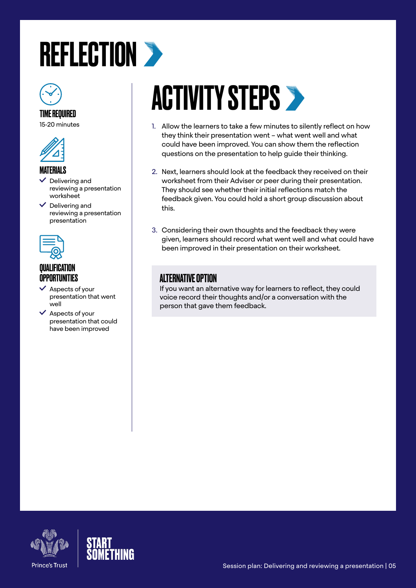# <span id="page-4-0"></span>**REFLECTION >**



### TIME REQUIRED

15-20 minutes



#### **MATFRIALS**

- $\checkmark$  Delivering and reviewing a presentation worksheet
- $\vee$  Delivering and reviewing a presentation presentation



### **OUALIFICATION** OPPORTUNITIES

- $\checkmark$  Aspects of your presentation that went well
- $\vee$  Aspects of your presentation that could have been improved

# **ACTIVITY STEPS >**

- 1. Allow the learners to take a few minutes to silently reflect on how they think their presentation went – what went well and what could have been improved. You can show them the reflection questions on the presentation to help guide their thinking.
- 2. Next, learners should look at the feedback they received on their worksheet from their Adviser or peer during their presentation. They should see whether their initial reflections match the feedback given. You could hold a short group discussion about this.
- 3. Considering their own thoughts and the feedback they were given, learners should record what went well and what could have been improved in their presentation on their worksheet.

# ALTERNATIVE OPTION

If you want an alternative way for learners to reflect, they could voice record their thoughts and/or a conversation with the person that gave them feedback.



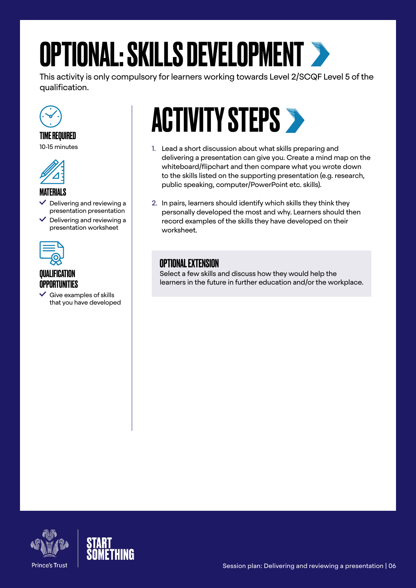# <span id="page-5-0"></span>OPTIONAL: SKILLS DEVELOPMENT

This activity is only compulsory for learners working towards Level 2/SCQF Level 5 of the qualification.



### TIME REQUIRED

10-15 minutes



### **MATFRIALS**

- Delivering and reviewing a presentation presentation
- Delivering and reviewing a presentation worksheet



#### **QUALIFICATION** OPPORTUNITIES

 $\checkmark$  Give examples of skills that you have developed

# **ACTIVITY STEPS >**

- 1. Lead a short discussion about what skills preparing and delivering a presentation can give you. Create a mind map on the whiteboard/flipchart and then compare what you wrote down to the skills listed on the supporting presentation (e.g. research, public speaking, computer/PowerPoint etc. skills).
- 2. In pairs, learners should identify which skills they think they personally developed the most and why. Learners should then record examples of the skills they have developed on their worksheet.

### OPTIONAL EXTENSION

Select a few skills and discuss how they would help the learners in the future in further education and/or the workplace.